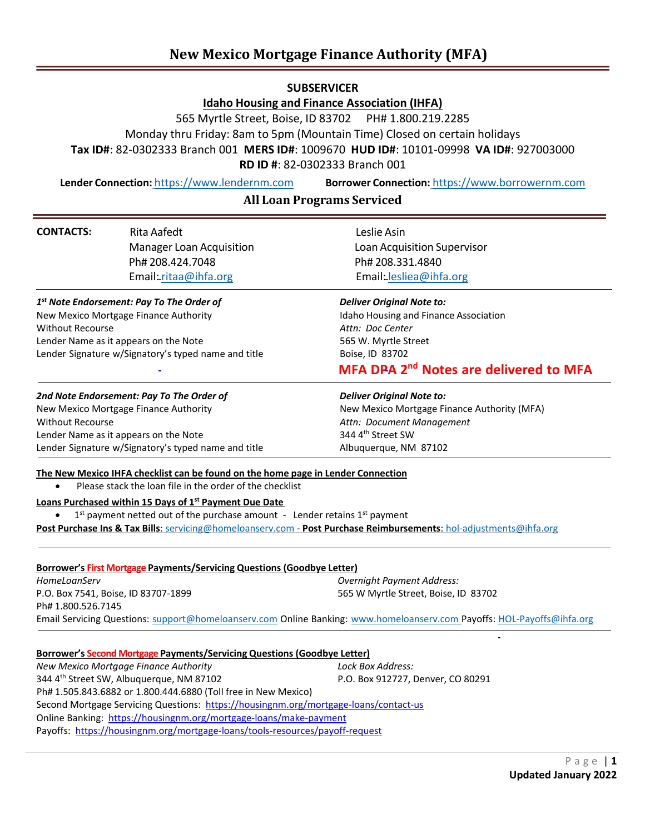# **New Mexico Mortgage Finance Authority (MFA)**

# **SUBSERVICER**

**Idaho Housing and Finance Association (IHFA)**

565 Myrtle Street, Boise, ID 83702 PH# 1.800.219.2285

Monday thru Friday: 8am to 5pm (Mountain Time) Closed on certain holidays

**Tax ID#**: 82-0302333 Branch 001 **MERS ID#**: 1009670 **HUD ID#**: 10101-09998 **VA ID#**: 927003000

**RD ID #**: 82-0302333 Branch 001

**Lender Connection:** [https://www.lendernm.com](https://www.lendernm.com/) **Borrower Connection:** [https://www.borrowernm.com](https://www.borrowernm.com/)

# **All Loan Programs Serviced**

| <b>CONTACTS:</b>                                               | <b>Rita Aafedt</b>                                                                                                                                                                                                                                                                                   | Leslie Asin                                                                                                            |
|----------------------------------------------------------------|------------------------------------------------------------------------------------------------------------------------------------------------------------------------------------------------------------------------------------------------------------------------------------------------------|------------------------------------------------------------------------------------------------------------------------|
|                                                                | <b>Manager Loan Acquisition</b>                                                                                                                                                                                                                                                                      | Loan Acquisition Supervisor                                                                                            |
|                                                                | Ph# 208.424.7048                                                                                                                                                                                                                                                                                     | Ph# 208.331.4840                                                                                                       |
|                                                                | Email:ritaa@ihfa.org                                                                                                                                                                                                                                                                                 | Email: lesliea@ihfa.org                                                                                                |
| 1 <sup>st</sup> Note Endorsement: Pay To The Order of          |                                                                                                                                                                                                                                                                                                      | <b>Deliver Original Note to:</b>                                                                                       |
| New Mexico Mortgage Finance Authority                          |                                                                                                                                                                                                                                                                                                      | Idaho Housing and Finance Association                                                                                  |
| <b>Without Recourse</b>                                        |                                                                                                                                                                                                                                                                                                      | Attn: Doc Center                                                                                                       |
| Lender Name as it appears on the Note                          |                                                                                                                                                                                                                                                                                                      | 565 W. Myrtle Street                                                                                                   |
| Lender Signature w/Signatory's typed name and title            |                                                                                                                                                                                                                                                                                                      | Boise, ID 83702                                                                                                        |
|                                                                |                                                                                                                                                                                                                                                                                                      | MFA DPA 2 <sup>nd</sup> Notes are delivered to MFA                                                                     |
| 2nd Note Endorsement: Pay To The Order of                      |                                                                                                                                                                                                                                                                                                      | <b>Deliver Original Note to:</b>                                                                                       |
| New Mexico Mortgage Finance Authority                          |                                                                                                                                                                                                                                                                                                      | New Mexico Mortgage Finance Authority (MFA)                                                                            |
| <b>Without Recourse</b>                                        |                                                                                                                                                                                                                                                                                                      | Attn: Document Management                                                                                              |
| Lender Name as it appears on the Note                          |                                                                                                                                                                                                                                                                                                      | 344 4th Street SW                                                                                                      |
| Lender Signature w/Signatory's typed name and title            |                                                                                                                                                                                                                                                                                                      | Albuquerque, NM 87102                                                                                                  |
|                                                                | The New Mexico IHFA checklist can be found on the home page in Lender Connection<br>Please stack the loan file in the order of the checklist<br>Loans Purchased within 15 Days of 1 <sup>st</sup> Payment Due Date<br>$1st$ payment netted out of the purchase amount - Lender retains $1st$ payment | Post Purchase Ins & Tax Bills: servicing@homeloanserv.com - Post Purchase Reimbursements: hol-adjustments@ihfa.org     |
|                                                                | <b>Borrower's First Mortgage Payments/Servicing Questions (Goodbye Letter)</b>                                                                                                                                                                                                                       |                                                                                                                        |
| HomeLoanServ                                                   |                                                                                                                                                                                                                                                                                                      | <b>Overnight Payment Address:</b>                                                                                      |
| P.O. Box 7541, Boise, ID 83707-1899                            |                                                                                                                                                                                                                                                                                                      | 565 W Myrtle Street, Boise, ID 83702                                                                                   |
| Ph# 1.800.526.7145                                             |                                                                                                                                                                                                                                                                                                      |                                                                                                                        |
|                                                                |                                                                                                                                                                                                                                                                                                      | Email Servicing Questions: support@homeloanserv.com Online Banking: www.homeloanserv.com Payoffs: HOL-Payoffs@ihfa.org |
|                                                                | Borrower's Second Mortgage Payments/Servicing Questions (Goodbye Letter)                                                                                                                                                                                                                             |                                                                                                                        |
| New Mexico Mortgage Finance Authority                          |                                                                                                                                                                                                                                                                                                      | Lock Box Address:                                                                                                      |
| 344 4th Street SW, Albuquerque, NM 87102                       |                                                                                                                                                                                                                                                                                                      | P.O. Box 912727, Denver, CO 80291                                                                                      |
| Ph# 1.505.843.6882 or 1.800.444.6880 (Toll free in New Mexico) |                                                                                                                                                                                                                                                                                                      |                                                                                                                        |
|                                                                | Second Mortgage Servicing Questions: https://housingnm.org/mortgage-loans/contact-us                                                                                                                                                                                                                 |                                                                                                                        |
|                                                                | Online Banking: https://housingnm.org/mortgage-loans/make-payment                                                                                                                                                                                                                                    |                                                                                                                        |
|                                                                | Payoffs: https://housingnm.org/mortgage-loans/tools-resources/payoff-request                                                                                                                                                                                                                         |                                                                                                                        |